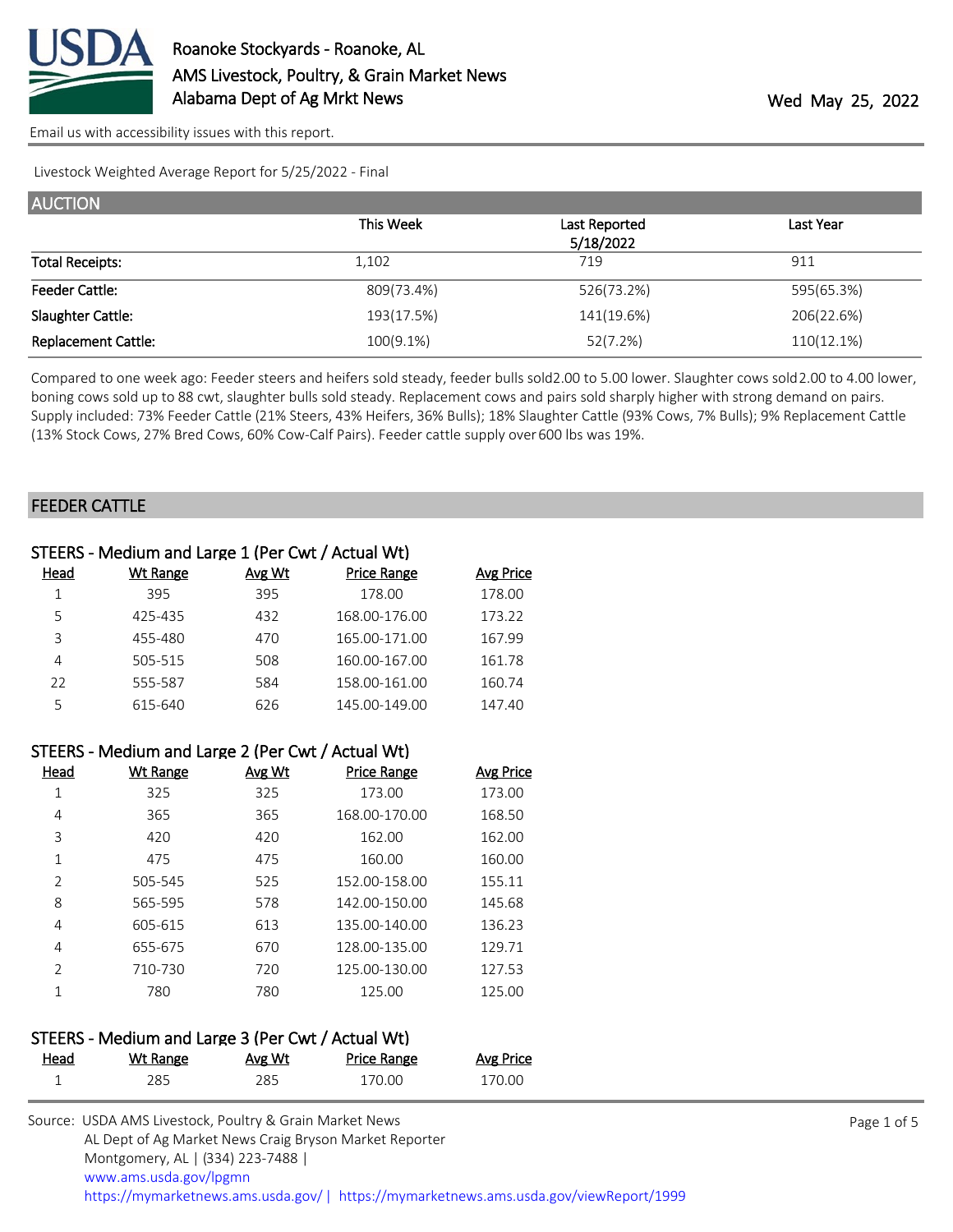

[Email us with accessibility issues with this report.](mailto:mars@ams.usda.gov?subject=508%20issue)

Livestock Weighted Average Report for 5/25/2022 - Final

| <b>AUCTION</b>             |              |               |            |
|----------------------------|--------------|---------------|------------|
|                            | This Week    | Last Reported | Last Year  |
|                            |              | 5/18/2022     |            |
| <b>Total Receipts:</b>     | 1,102        | 719           | 911        |
| <b>Feeder Cattle:</b>      | 809(73.4%)   | 526(73.2%)    | 595(65.3%) |
| Slaughter Cattle:          | 193(17.5%)   | 141(19.6%)    | 206(22.6%) |
| <b>Replacement Cattle:</b> | $100(9.1\%)$ | 52(7.2%)      | 110(12.1%) |

Compared to one week ago: Feeder steers and heifers sold steady, feeder bulls sold 2.00 to 5.00 lower. Slaughter cows sold 2.00 to 4.00 lower, boning cows sold up to 88 cwt, slaughter bulls sold steady. Replacement cows and pairs sold sharply higher with strong demand on pairs. Supply included: 73% Feeder Cattle (21% Steers, 43% Heifers, 36% Bulls); 18% Slaughter Cattle (93% Cows, 7% Bulls); 9% Replacement Cattle (13% Stock Cows, 27% Bred Cows, 60% Cow-Calf Pairs). Feeder cattle supply over 600 lbs was 19%.

#### FEEDER CATTLE

|      | STEERS - Medium and Large 1 (Per Cwt / Actual Wt) |        |                    |           |
|------|---------------------------------------------------|--------|--------------------|-----------|
| Head | Wt Range                                          | Avg Wt | <b>Price Range</b> | Avg Price |
|      | 395                                               | 395    | 178.00             | 178.00    |
| 5    | 425-435                                           | 432    | 168.00-176.00      | 173.22    |
| 3    | 455-480                                           | 470    | 165.00-171.00      | 167.99    |
| 4    | 505-515                                           | 508    | 160.00-167.00      | 161.78    |
| 22   | 555-587                                           | 584    | 158.00-161.00      | 160.74    |
| 5    | 615-640                                           | 626    | 145.00-149.00      | 147.40    |
|      |                                                   |        |                    |           |

|                | STEERS - Medium and Large 2 (Per Cwt / Actual Wt) |               |                    |           |
|----------------|---------------------------------------------------|---------------|--------------------|-----------|
| Head           | <b>Wt Range</b>                                   | <u>Avg Wt</u> | <b>Price Range</b> | Avg Price |
| 1              | 325                                               | 325           | 173.00             | 173.00    |
| 4              | 365                                               | 365           | 168.00-170.00      | 168.50    |
| 3              | 420                                               | 420           | 162.00             | 162.00    |
| 1              | 475                                               | 475           | 160.00             | 160.00    |
| $\overline{2}$ | 505-545                                           | 525           | 152.00-158.00      | 155.11    |
| 8              | 565-595                                           | 578           | 142.00-150.00      | 145.68    |
| 4              | 605-615                                           | 613           | 135.00-140.00      | 136.23    |
| 4              | 655-675                                           | 670           | 128.00-135.00      | 129.71    |
| $\overline{2}$ | 710-730                                           | 720           | 125.00-130.00      | 127.53    |
|                | 780                                               | 780           | 125.00             | 125.00    |

# STEERS - Medium and Large 3 (Per Cwt / Actual Wt)

| Head | <u>Wt Range</u> | Avg Wt | <u>Price Range</u> | <b>Avg Price</b> |
|------|-----------------|--------|--------------------|------------------|
|      | 285             | 285    | 170.00             | 170.00           |

| Source: USDA AMS Livestock, Poultry & Grain Market News                               |
|---------------------------------------------------------------------------------------|
| AL Dept of Ag Market News Craig Bryson Market Reporter                                |
| Montgomery, AL   (334) 223-7488                                                       |
| www.ams.usda.gov/lpgmn                                                                |
| https://mymarketnews.ams.usda.gov/  https://mymarketnews.ams.usda.gov/viewReport/1999 |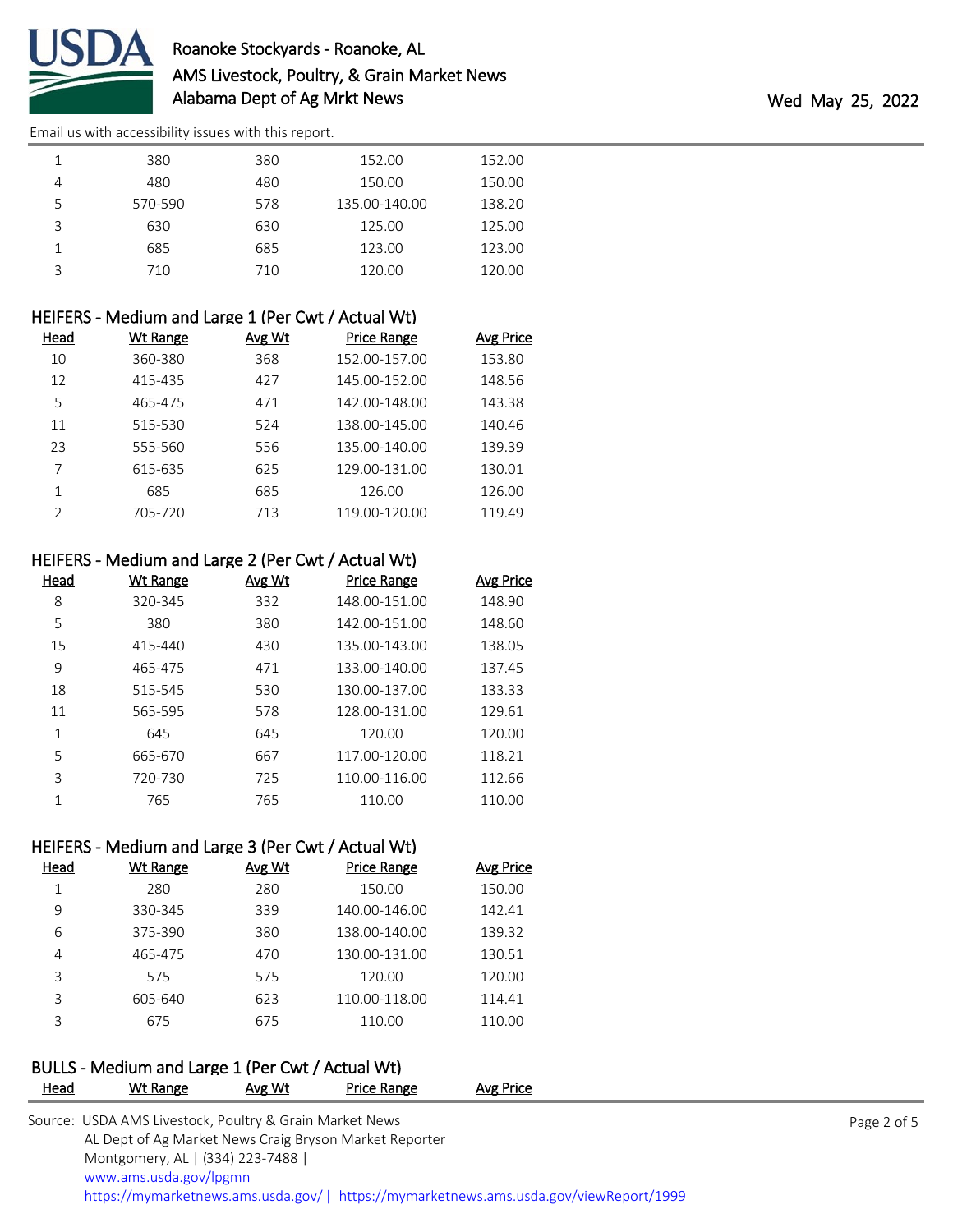

# Roanoke Stockyards - Roanoke, AL AMS Livestock, Poultry, & Grain Market News Alabama Dept of Ag Mrkt News **Wed May 25, 2022**

[Email us with accessibility issues with this report.](mailto:mars@ams.usda.gov?subject=508%20issue)

|   | 380     | 380 | 152.00        | 152.00 |
|---|---------|-----|---------------|--------|
| 4 | 480     | 480 | 150.00        | 150.00 |
|   | 570-590 | 578 | 135.00-140.00 | 138.20 |
|   | 630     | 630 | 125.00        | 125.00 |
|   | 685     | 685 | 123.00        | 123.00 |
|   | 710     | 710 | 120.00        | 120.00 |

|               | HEIFERS - Medium and Large 1 (Per Cwt / Actual Wt) |               |                    |           |
|---------------|----------------------------------------------------|---------------|--------------------|-----------|
| <u>Head</u>   | Wt Range                                           | <b>Avg Wt</b> | <b>Price Range</b> | Avg Price |
| 10            | 360-380                                            | 368           | 152.00-157.00      | 153.80    |
| 12            | 415-435                                            | 427           | 145.00-152.00      | 148.56    |
| 5             | 465-475                                            | 471           | 142.00-148.00      | 143.38    |
| 11            | 515-530                                            | 524           | 138.00-145.00      | 140.46    |
| 23            | 555-560                                            | 556           | 135.00-140.00      | 139.39    |
|               | 615-635                                            | 625           | 129.00-131.00      | 130.01    |
| 1             | 685                                                | 685           | 126.00             | 126.00    |
| $\mathcal{P}$ | 705-720                                            | 713           | 119.00-120.00      | 119.49    |

|  | HEIFERS - Medium and Large 2 (Per Cwt / Actual Wt) |  |  |  |
|--|----------------------------------------------------|--|--|--|
|--|----------------------------------------------------|--|--|--|

| Head | <u>Wt Range</u> | Avg Wt | <b>Price Range</b> | <b>Avg Price</b> |
|------|-----------------|--------|--------------------|------------------|
| 8    | 320-345         | 332    | 148.00-151.00      | 148.90           |
| 5    | 380             | 380    | 142.00-151.00      | 148.60           |
| 15   | 415-440         | 430    | 135.00-143.00      | 138.05           |
| 9    | 465-475         | 471    | 133.00-140.00      | 137.45           |
| 18   | 515-545         | 530    | 130.00-137.00      | 133.33           |
| 11   | 565-595         | 578    | 128.00-131.00      | 129.61           |
| 1    | 645             | 645    | 120.00             | 120.00           |
| 5    | 665-670         | 667    | 117.00-120.00      | 118.21           |
| 3    | 720-730         | 725    | 110.00-116.00      | 112.66           |
| 1    | 765             | 765    | 110.00             | 110.00           |

# HEIFERS - Medium and Large 3 (Per Cwt / Actual Wt)

| Head | Wt Range | Avg Wt | <b>Price Range</b> | <b>Avg Price</b> |
|------|----------|--------|--------------------|------------------|
|      | 280      | 280    | 150.00             | 150.00           |
| 9    | 330-345  | 339    | 140.00-146.00      | 142.41           |
| 6    | 375-390  | 380    | 138.00-140.00      | 139.32           |
| 4    | 465-475  | 470    | 130.00-131.00      | 130.51           |
| 3    | 575      | 575    | 120.00             | 120.00           |
| 3    | 605-640  | 623    | 110.00-118.00      | 114.41           |
| 3    | 675      | 675    | 110.00             | 110.00           |

# BULLS - Medium and Large 1 (Per Cwt / Actual Wt)

| <b>Head</b> | Wt Range                                                | Avg Wt | <b>Price Range</b> | Avg Price                                                                              |  |
|-------------|---------------------------------------------------------|--------|--------------------|----------------------------------------------------------------------------------------|--|
|             | Source: USDA AMS Livestock, Poultry & Grain Market News |        |                    |                                                                                        |  |
|             | AL Dept of Ag Market News Craig Bryson Market Reporter  |        |                    |                                                                                        |  |
|             | Montgomery, AL   (334) 223-7488                         |        |                    |                                                                                        |  |
|             | www.ams.usda.gov/lpgmn                                  |        |                    |                                                                                        |  |
|             |                                                         |        |                    | https://mymarketnews.ams.usda.gov/   https://mymarketnews.ams.usda.gov/viewReport/1999 |  |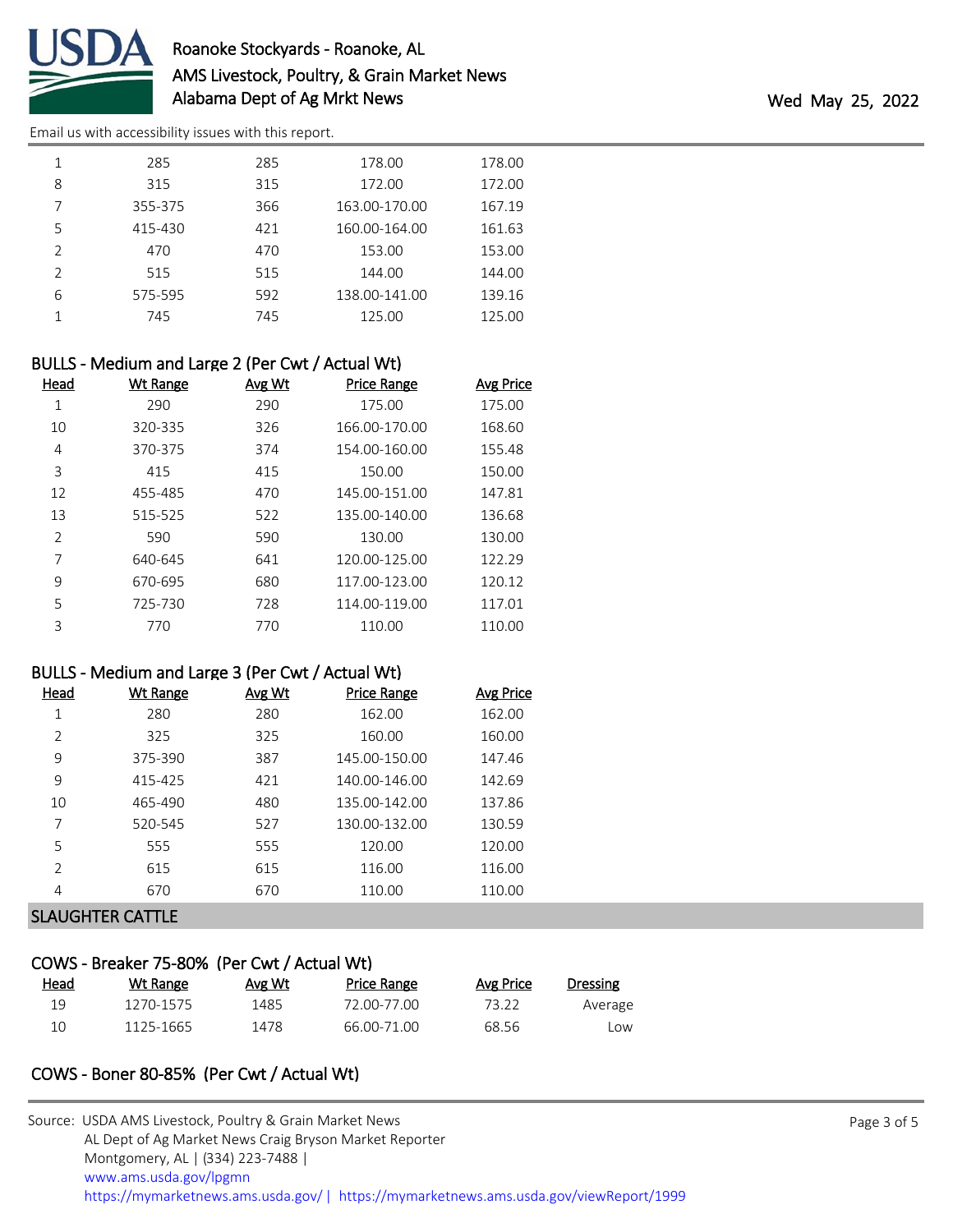

# Roanoke Stockyards - Roanoke, AL AMS Livestock, Poultry, & Grain Market News Alabama Dept of Ag Mrkt News Wed May 25, 2022

[Email us with accessibility issues with this report.](mailto:mars@ams.usda.gov?subject=508%20issue)

| 1             | 285     | 285 | 178.00        | 178.00 |
|---------------|---------|-----|---------------|--------|
| 8             | 315     | 315 | 172.00        | 172.00 |
| 7             | 355-375 | 366 | 163.00-170.00 | 167.19 |
| 5             | 415-430 | 421 | 160.00-164.00 | 161.63 |
| $\mathcal{P}$ | 470     | 470 | 153.00        | 153.00 |
| $\mathcal{P}$ | 515     | 515 | 144.00        | 144.00 |
| 6             | 575-595 | 592 | 138.00-141.00 | 139.16 |
|               | 745     | 745 | 125.00        | 125.00 |
|               |         |     |               |        |

## BULLS - Medium and Large 2 (Per Cwt / Actual Wt)

| Head           | <b>Wt Range</b> | Avg Wt | <b>Price Range</b> | <b>Avg Price</b> |
|----------------|-----------------|--------|--------------------|------------------|
| 1              | 290             | 290    | 175.00             | 175.00           |
| 10             | 320-335         | 326    | 166.00-170.00      | 168.60           |
| 4              | 370-375         | 374    | 154.00-160.00      | 155.48           |
| 3              | 415             | 415    | 150.00             | 150.00           |
| 12             | 455-485         | 470    | 145.00-151.00      | 147.81           |
| 13             | 515-525         | 522    | 135.00-140.00      | 136.68           |
| $\overline{2}$ | 590             | 590    | 130.00             | 130.00           |
| 7              | 640-645         | 641    | 120.00-125.00      | 122.29           |
| 9              | 670-695         | 680    | 117.00-123.00      | 120.12           |
| 5              | 725-730         | 728    | 114.00-119.00      | 117.01           |
| 3              | 770             | 770    | 110.00             | 110.00           |

#### BULLS - Medium and Large 3 (Per Cwt / Actual Wt)

| Head          | Wt Range | Avg Wt | <b>Price Range</b> | Avg Price |
|---------------|----------|--------|--------------------|-----------|
| 1             | 280      | 280    | 162.00             | 162.00    |
| $\mathcal{P}$ | 325      | 325    | 160.00             | 160.00    |
| 9             | 375-390  | 387    | 145.00-150.00      | 147.46    |
| 9             | 415-425  | 421    | 140.00-146.00      | 142.69    |
| 10            | 465-490  | 480    | 135.00-142.00      | 137.86    |
| 7             | 520-545  | 527    | 130.00-132.00      | 130.59    |
| 5             | 555      | 555    | 120.00             | 120.00    |
| $\mathcal{P}$ | 615      | 615    | 116.00             | 116.00    |
| 4             | 670      | 670    | 110.00             | 110.00    |

## SLAUGHTER CATTLE

## COWS - Breaker 75-80% (Per Cwt / Actual Wt)

| <u>Head</u> | Wt Range  | Avg Wt | <b>Price Range</b> | Avg Price | Dressing |
|-------------|-----------|--------|--------------------|-----------|----------|
| 19          | 1270-1575 | 1485   | 72.00-77.00        | 73.22     | Average  |
| 10          | 1125-1665 | 1478   | 66.00-71.00        | 68.56     | _OW      |

# COWS - Boner 80-85% (Per Cwt / Actual Wt)

| Source: USDA AMS Livestock, Poultry & Grain Market News                                |
|----------------------------------------------------------------------------------------|
| AL Dept of Ag Market News Craig Bryson Market Reporter                                 |
| Montgomery, AL   (334) 223-7488                                                        |
| www.ams.usda.gov/lpgmn                                                                 |
| https://mymarketnews.ams.usda.gov/   https://mymarketnews.ams.usda.gov/viewReport/1999 |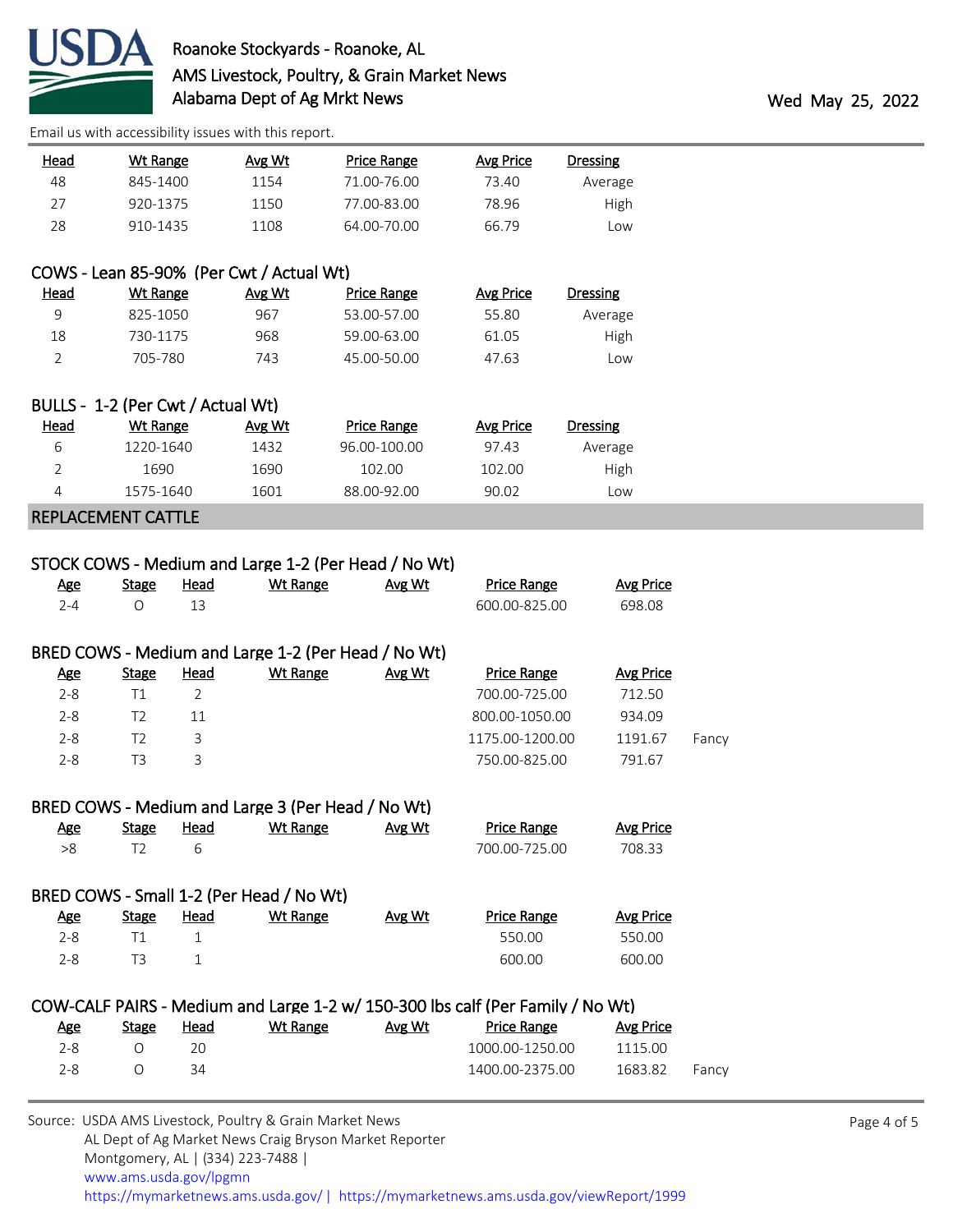

[Email us with accessibility issues with this report.](mailto:mars@ams.usda.gov?subject=508%20issue)

| Dressing | Avg Price | Price Range | Avg Wt | Wt Range | <u>Head</u> |
|----------|-----------|-------------|--------|----------|-------------|
| Average  | 73.40     | 71.00-76.00 | 1154   | 845-1400 | 48          |
| High     | 78.96     | 77.00-83.00 | 1150   | 920-1375 | 27          |
| Low      | 66.79     | 64.00-70.00 | 1108   | 910-1435 | 28          |

## COWS - Lean 85-90% (Per Cwt / Actual Wt)

| <u>Head</u> | Wt Range | Avg Wt | Price Range | Avg Price | <b>Dressing</b> |
|-------------|----------|--------|-------------|-----------|-----------------|
| q           | 825-1050 | 967    | 53.00-57.00 | 55.80     | Average         |
| 18          | 730-1175 | 968    | 59.00-63.00 | 61.05     | High            |
|             | 705-780  | 743    | 45.00-50.00 | 47.63     | LOW             |

|      | BULLS - 1-2 (Per Cwt / Actual Wt) |        |              |           |          |
|------|-----------------------------------|--------|--------------|-----------|----------|
| Head | Wt Range                          | Avg Wt | Price Range  | Avg Price | Dressing |
| 6    | 1220-1640                         | 1432   | 96.00-100.00 | 97.43     | Average  |
|      | 1690                              | 1690   | 102.00       | 102.00    | High     |
|      | 1575-1640                         | 1601   | 88.00-92.00  | 90.02     | Low      |
|      |                                   |        |              |           |          |

#### REPLACEMENT CATTLE

# STOCK COWS - Medium and Large 1-2 (Per Head / No Wt)

| Age           | <b>Stage</b> | Head | Wt Range                                            | Avg Wt | <b>Price Range</b> | Avg Price |  |
|---------------|--------------|------|-----------------------------------------------------|--------|--------------------|-----------|--|
| $2 - 4$       |              | 13   |                                                     |        | 600.00-825.00      | 698.08    |  |
|               |              |      |                                                     |        |                    |           |  |
|               |              |      | BRED COWS - Medium and Large 1-2 (Per Head / No Wt) |        |                    |           |  |
| <u>Age</u>    | <b>Stage</b> | Head | Wt Range                                            | Avg Wt | <b>Price Range</b> | Avg Price |  |
| $2 - 8$       |              |      |                                                     |        | 700.00-725.00      | 712.50    |  |
| $\sim$ $\sim$ |              |      |                                                     |        | 0.0000000000       | 0.2100    |  |

|         |     | .               |         |       |
|---------|-----|-----------------|---------|-------|
| 2-8     |     | 800.00-1050.00  | 934.09  |       |
| $2 - 8$ |     | 1175.00-1200.00 | 1191.67 | Fancy |
| -2-8    | T3. | 750.00-825.00   | 791.67  |       |
|         |     |                 |         |       |

## BRED COWS - Medium and Large 3 (Per Head / No Wt)

| <u>Age</u> | Stage | Head | Wt Range                                 | Avg Wt | <b>Price Range</b> | Avg Price |
|------------|-------|------|------------------------------------------|--------|--------------------|-----------|
| >8         | T2    | 6    |                                          |        | 700.00-725.00      | 708.33    |
|            |       |      |                                          |        |                    |           |
|            |       |      | BRED COWS - Small 1-2 (Per Head / No Wt) |        |                    |           |
| <u>Age</u> | Stage | Head | Wt Range                                 | Avg Wt | <b>Price Range</b> | Avg Price |
| $2 - 8$    | Τ1    |      |                                          |        | 550.00             | 550.00    |
| $2 - 8$    | TЗ    |      |                                          |        | 600.00             | 600.00    |

## COW-CALF PAIRS - Medium and Large 1-2 w/ 150-300 lbs calf (Per Family / No Wt)

| <u>Age</u> | Stage            | <u>Head</u> | Wt Range | Avg Wt | Price Range     | Avg Price |       |
|------------|------------------|-------------|----------|--------|-----------------|-----------|-------|
| 2-8.       |                  | 20          |          |        | 1000.00-1250.00 | 1115.00   |       |
| 2-8.       | $\left( \right)$ | 34          |          |        | 1400.00-2375.00 | 1683.82   | Fancy |